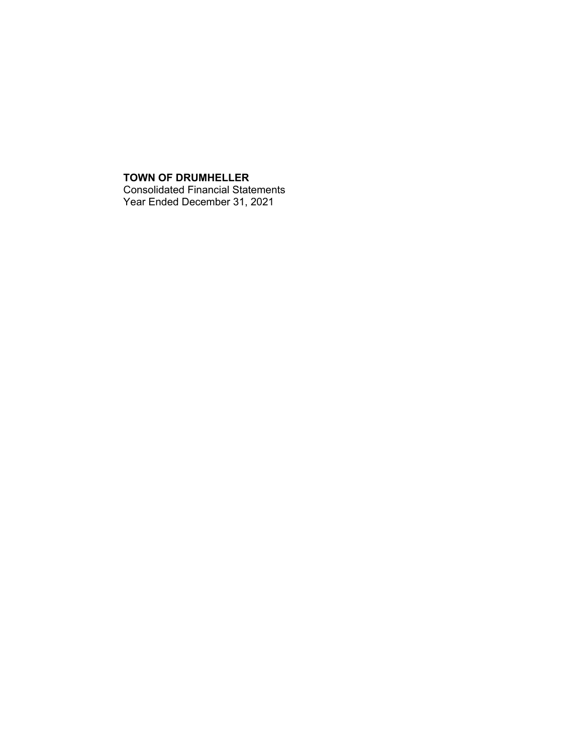## **TOWN OF DRUMHELLER** Consolidated Financial Statements Year Ended December 31, 2021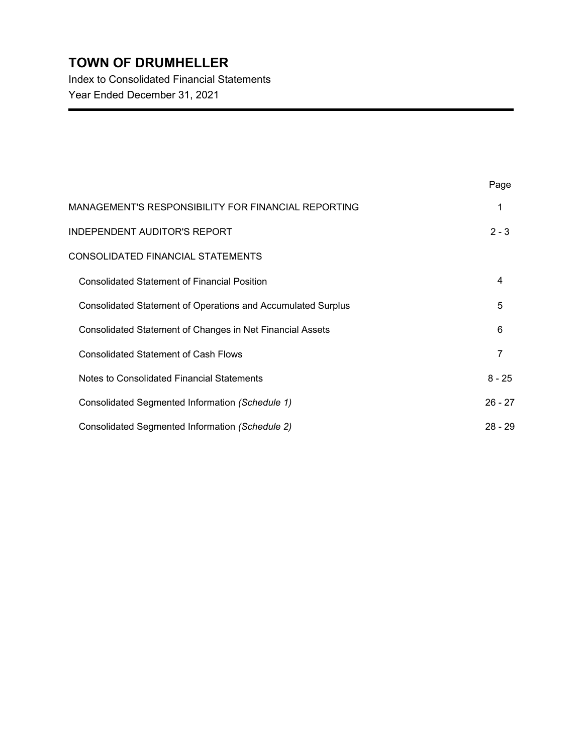Index to Consolidated Financial Statements Year Ended December 31, 2021

|                                                                     | Page      |
|---------------------------------------------------------------------|-----------|
| MANAGEMENT'S RESPONSIBILITY FOR FINANCIAL REPORTING                 | 1         |
| <b>INDEPENDENT AUDITOR'S REPORT</b>                                 | $2 - 3$   |
| CONSOLIDATED FINANCIAL STATEMENTS                                   |           |
| <b>Consolidated Statement of Financial Position</b>                 | 4         |
| <b>Consolidated Statement of Operations and Accumulated Surplus</b> | 5         |
| Consolidated Statement of Changes in Net Financial Assets           | 6         |
| <b>Consolidated Statement of Cash Flows</b>                         | 7         |
| Notes to Consolidated Financial Statements                          | $8 - 25$  |
| Consolidated Segmented Information (Schedule 1)                     | $26 - 27$ |
| Consolidated Segmented Information (Schedule 2)                     | $28 - 29$ |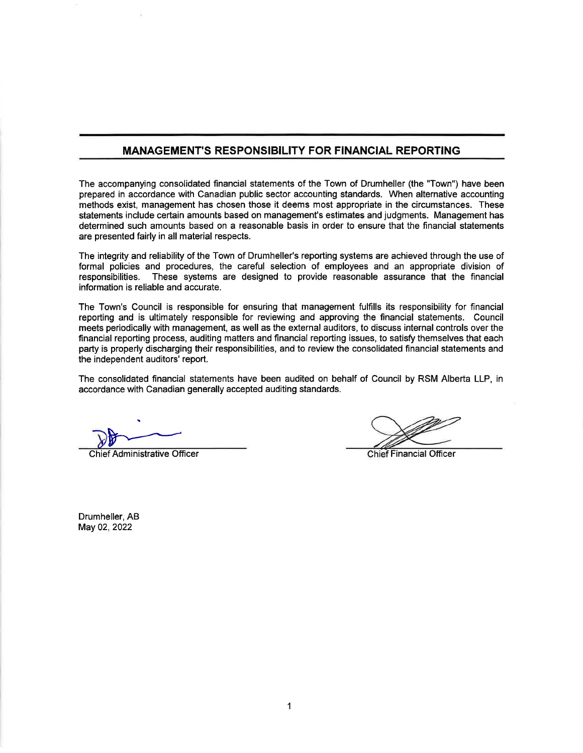## **MANAGEMENT'S RESPONSIBILITY FOR FINANCIAL REPORTING**

The accompanying consolidated financial statements of the Town of Drumheller (the "Town") have been prepared in accordance with Canadian public sector accounting standards. When alternative accounting methods exist, management has chosen those it deems most appropriate in the circumstances. These statements include certain amounts based on management's estimates and judgments. Management has determined such amounts based on a reasonable basis in order to ensure that the financial statements are presented fairly in all material respects.

The integrity and reliability of the Town of Drumheller's reporting systems are achieved through the use of formal policies and procedures, the careful selection of employees and an appropriate division of responsibilities. These systems are designed to provide reasonable assurance that the financial information is reliable and accurate.

The Town's Council is responsible for ensuring that management fulfills its responsibility for financial reporting and is ultimately responsible for reviewing and approving the financial statements. Council meets periodically with management, as well as the external auditors, to discuss internal controls over the financial reporting process, auditing matters and financial reporting issues, to satisfy themselves that each party is properly discharging their responsibilities, and to review the consolidated financial statements and the independent auditors' report.

The consolidated financial statements have been audited on behalf of Council by RSM Alberta LLP, in accordance with Canadian generally accepted auditing standards.

**Chief Administrative Officer** 

**Chief Financial Officer** 

Drumheller, AB May 02, 2022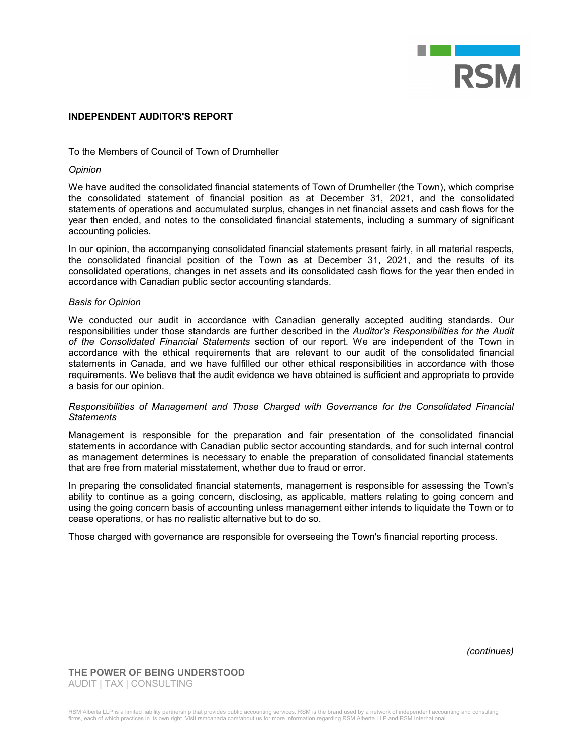

#### **INDEPENDENT AUDITOR'S REPORT**

### To the Members of Council of Town of Drumheller

#### *Opinion*

We have audited the consolidated financial statements of Town of Drumheller (the Town), which comprise the consolidated statement of financial position as at December 31, 2021, and the consolidated statements of operations and accumulated surplus, changes in net financial assets and cash flows for the year then ended, and notes to the consolidated financial statements, including a summary of significant accounting policies.

In our opinion, the accompanying consolidated financial statements present fairly, in all material respects, the consolidated financial position of the Town as at December 31, 2021, and the results of its consolidated operations, changes in net assets and its consolidated cash flows for the year then ended in accordance with Canadian public sector accounting standards.

#### *Basis for Opinion*

We conducted our audit in accordance with Canadian generally accepted auditing standards. Our responsibilities under those standards are further described in the *Auditor's Responsibilities for the Audit of the Consolidated Financial Statements* section of our report. We are independent of the Town in accordance with the ethical requirements that are relevant to our audit of the consolidated financial statements in Canada, and we have fulfilled our other ethical responsibilities in accordance with those requirements. We believe that the audit evidence we have obtained is sufficient and appropriate to provide a basis for our opinion.

#### *Responsibilities of Management and Those Charged with Governance for the Consolidated Financial Statements*

Management is responsible for the preparation and fair presentation of the consolidated financial statements in accordance with Canadian public sector accounting standards, and for such internal control as management determines is necessary to enable the preparation of consolidated financial statements that are free from material misstatement, whether due to fraud or error.

In preparing the consolidated financial statements, management is responsible for assessing the Town's ability to continue as a going concern, disclosing, as applicable, matters relating to going concern and using the going concern basis of accounting unless management either intends to liquidate the Town or to cease operations, or has no realistic alternative but to do so.

Those charged with governance are responsible for overseeing the Town's financial reporting process.

*(continues)*

**THE POWER OF BEING UNDERSTOOD** AUDIT | TAX | CONSULTING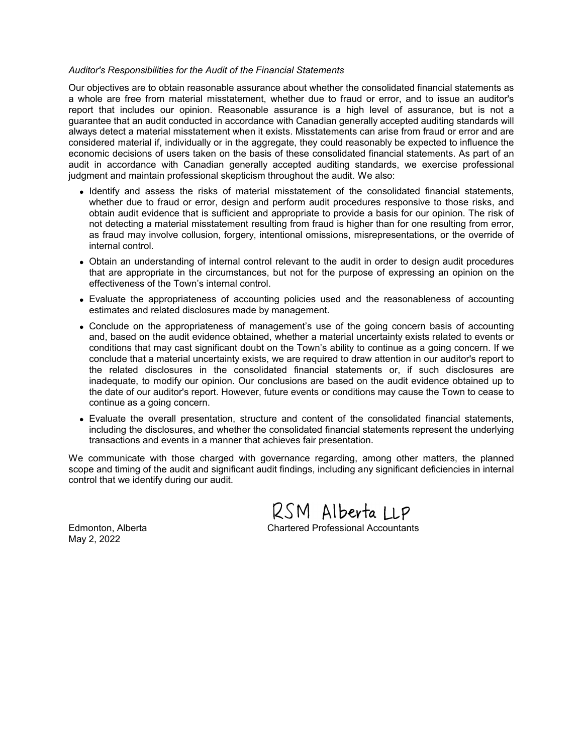#### *Auditor's Responsibilities for the Audit of the Financial Statements*

Our objectives are to obtain reasonable assurance about whether the consolidated financial statements as a whole are free from material misstatement, whether due to fraud or error, and to issue an auditor's report that includes our opinion. Reasonable assurance is a high level of assurance, but is not a guarantee that an audit conducted in accordance with Canadian generally accepted auditing standards will always detect a material misstatement when it exists. Misstatements can arise from fraud or error and are considered material if, individually or in the aggregate, they could reasonably be expected to influence the economic decisions of users taken on the basis of these consolidated financial statements. As part of an audit in accordance with Canadian generally accepted auditing standards, we exercise professional judgment and maintain professional skepticism throughout the audit. We also:

- Identify and assess the risks of material misstatement of the consolidated financial statements, whether due to fraud or error, design and perform audit procedures responsive to those risks, and obtain audit evidence that is sufficient and appropriate to provide a basis for our opinion. The risk of not detecting a material misstatement resulting from fraud is higher than for one resulting from error, as fraud may involve collusion, forgery, intentional omissions, misrepresentations, or the override of internal control.
- Obtain an understanding of internal control relevant to the audit in order to design audit procedures that are appropriate in the circumstances, but not for the purpose of expressing an opinion on the effectiveness of the Town's internal control.
- Evaluate the appropriateness of accounting policies used and the reasonableness of accounting estimates and related disclosures made by management.
- Conclude on the appropriateness of management's use of the going concern basis of accounting and, based on the audit evidence obtained, whether a material uncertainty exists related to events or conditions that may cast significant doubt on the Town's ability to continue as a going concern. If we conclude that a material uncertainty exists, we are required to draw attention in our auditor's report to the related disclosures in the consolidated financial statements or, if such disclosures are inadequate, to modify our opinion. Our conclusions are based on the audit evidence obtained up to the date of our auditor's report. However, future events or conditions may cause the Town to cease to continue as a going concern.
- Evaluate the overall presentation, structure and content of the consolidated financial statements, including the disclosures, and whether the consolidated financial statements represent the underlying transactions and events in a manner that achieves fair presentation.

We communicate with those charged with governance regarding, among other matters, the planned scope and timing of the audit and significant audit findings, including any significant deficiencies in internal control that we identify during our audit.

RSM Alberta LLP Edmonton, Alberta Chartered Professional Accountants

May 2, 2022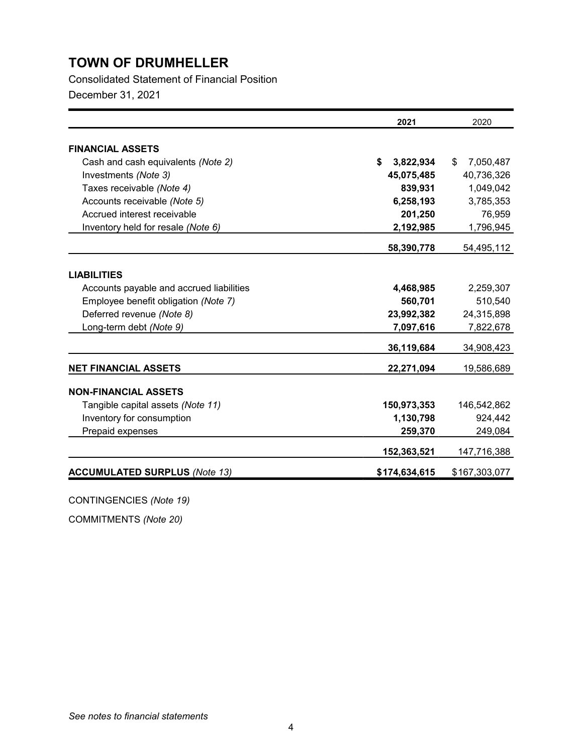Consolidated Statement of Financial Position

December 31, 2021

|                                          | 2021            | 2020            |
|------------------------------------------|-----------------|-----------------|
| <b>FINANCIAL ASSETS</b>                  |                 |                 |
| Cash and cash equivalents (Note 2)       | \$<br>3,822,934 | \$<br>7,050,487 |
| Investments (Note 3)                     | 45,075,485      | 40,736,326      |
| Taxes receivable (Note 4)                | 839,931         | 1,049,042       |
| Accounts receivable (Note 5)             | 6,258,193       | 3,785,353       |
| Accrued interest receivable              | 201,250         | 76,959          |
| Inventory held for resale (Note 6)       | 2,192,985       | 1,796,945       |
|                                          | 58,390,778      | 54,495,112      |
|                                          |                 |                 |
| <b>LIABILITIES</b>                       |                 |                 |
| Accounts payable and accrued liabilities | 4,468,985       | 2,259,307       |
| Employee benefit obligation (Note 7)     | 560,701         | 510,540         |
| Deferred revenue (Note 8)                | 23,992,382      | 24,315,898      |
| Long-term debt (Note 9)                  | 7,097,616       | 7,822,678       |
|                                          | 36,119,684      | 34,908,423      |
| <b>NET FINANCIAL ASSETS</b>              | 22,271,094      | 19,586,689      |
| <b>NON-FINANCIAL ASSETS</b>              |                 |                 |
| Tangible capital assets (Note 11)        | 150,973,353     | 146,542,862     |
| Inventory for consumption                | 1,130,798       | 924,442         |
| Prepaid expenses                         | 259,370         | 249,084         |
|                                          | 152,363,521     | 147,716,388     |
| <b>ACCUMULATED SURPLUS (Note 13)</b>     | \$174,634,615   | \$167,303,077   |

CONTINGENCIES *(Note 19)*

COMMITMENTS *(Note 20)*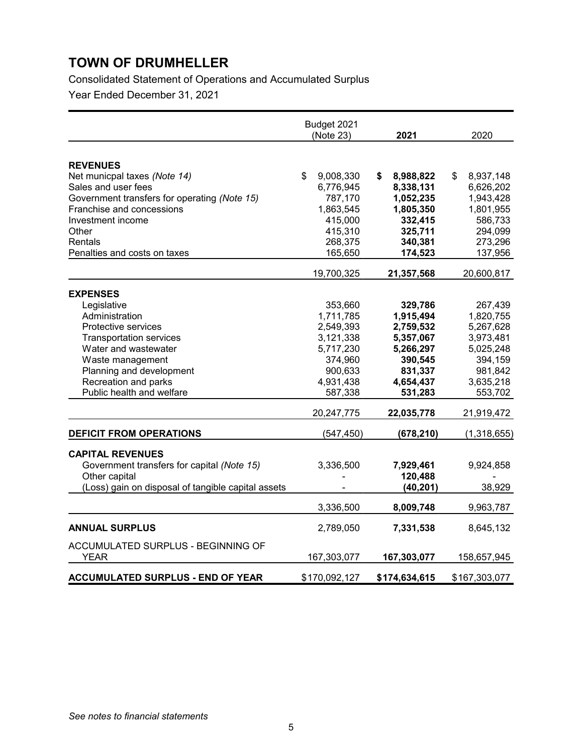Consolidated Statement of Operations and Accumulated Surplus

Year Ended December 31, 2021

|                                                                                                                                                                                                                                        | Budget 2021<br>(Note 23)                                                                                                | 2021                                                                                                                    | 2020                                                                                                                    |
|----------------------------------------------------------------------------------------------------------------------------------------------------------------------------------------------------------------------------------------|-------------------------------------------------------------------------------------------------------------------------|-------------------------------------------------------------------------------------------------------------------------|-------------------------------------------------------------------------------------------------------------------------|
| <b>REVENUES</b><br>Net municpal taxes (Note 14)<br>Sales and user fees<br>Government transfers for operating (Note 15)<br>Franchise and concessions<br>Investment income<br>Other<br>Rentals<br>Penalties and costs on taxes           | \$<br>9,008,330<br>6,776,945<br>787,170<br>1,863,545<br>415,000<br>415,310<br>268,375<br>165,650                        | S.<br>8,988,822<br>8,338,131<br>1,052,235<br>1,805,350<br>332,415<br>325,711<br>340,381<br>174,523                      | 8,937,148<br>\$<br>6,626,202<br>1,943,428<br>1,801,955<br>586,733<br>294,099<br>273,296<br>137,956                      |
|                                                                                                                                                                                                                                        | 19,700,325                                                                                                              | 21,357,568                                                                                                              | 20,600,817                                                                                                              |
| <b>EXPENSES</b><br>Legislative<br>Administration<br>Protective services<br><b>Transportation services</b><br>Water and wastewater<br>Waste management<br>Planning and development<br>Recreation and parks<br>Public health and welfare | 353,660<br>1,711,785<br>2,549,393<br>3,121,338<br>5,717,230<br>374,960<br>900,633<br>4,931,438<br>587,338<br>20,247,775 | 329,786<br>1,915,494<br>2,759,532<br>5,357,067<br>5,266,297<br>390,545<br>831,337<br>4,654,437<br>531,283<br>22,035,778 | 267,439<br>1,820,755<br>5,267,628<br>3,973,481<br>5,025,248<br>394,159<br>981,842<br>3,635,218<br>553,702<br>21,919,472 |
| <b>DEFICIT FROM OPERATIONS</b><br><b>CAPITAL REVENUES</b><br>Government transfers for capital (Note 15)<br>Other capital<br>(Loss) gain on disposal of tangible capital assets                                                         | (547, 450)<br>3,336,500                                                                                                 | (678, 210)<br>7,929,461<br>120,488<br>(40, 201)                                                                         | (1,318,655)<br>9,924,858<br>38,929                                                                                      |
| <b>ANNUAL SURPLUS</b><br>ACCUMULATED SURPLUS - BEGINNING OF<br><b>YEAR</b>                                                                                                                                                             | 3,336,500<br>2,789,050<br>167,303,077                                                                                   | 8,009,748<br>7,331,538<br>167,303,077                                                                                   | 9,963,787<br>8,645,132<br>158,657,945                                                                                   |
| <b>ACCUMULATED SURPLUS - END OF YEAR</b>                                                                                                                                                                                               | \$170,092,127                                                                                                           | \$174,634,615                                                                                                           | \$167,303,077                                                                                                           |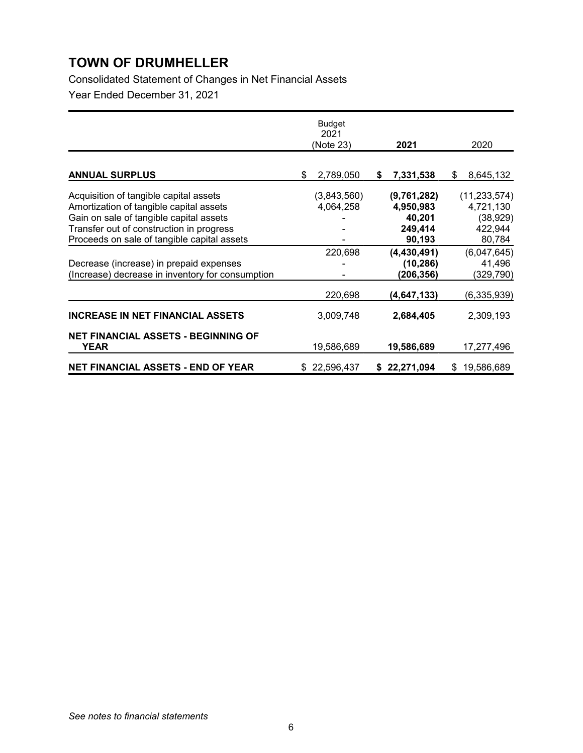Consolidated Statement of Changes in Net Financial Assets Year Ended December 31, 2021

|                                                  | <b>Budget</b><br>2021<br>(Note 23) | 2021             | 2020             |
|--------------------------------------------------|------------------------------------|------------------|------------------|
|                                                  |                                    |                  |                  |
| <b>ANNUAL SURPLUS</b>                            | 2,789,050<br>\$                    | 7,331,538<br>\$  | 8,645,132<br>\$  |
| Acquisition of tangible capital assets           | (3,843,560)                        | (9,761,282)      | (11, 233, 574)   |
| Amortization of tangible capital assets          | 4,064,258                          | 4,950,983        | 4,721,130        |
| Gain on sale of tangible capital assets          |                                    | 40,201           | (38, 929)        |
| Transfer out of construction in progress         |                                    | 249,414          | 422,944          |
| Proceeds on sale of tangible capital assets      |                                    | 90,193           | 80,784           |
|                                                  | 220,698                            | (4, 430, 491)    | (6,047,645)      |
| Decrease (increase) in prepaid expenses          |                                    | (10, 286)        | 41,496           |
| (Increase) decrease in inventory for consumption |                                    | (206,356)        | (329,790)        |
|                                                  | 220,698                            | (4,647,133)      | (6,335,939)      |
| <b>INCREASE IN NET FINANCIAL ASSETS</b>          | 3,009,748                          | 2,684,405        | 2,309,193        |
| <b>NET FINANCIAL ASSETS - BEGINNING OF</b>       |                                    |                  |                  |
| <b>YEAR</b>                                      | 19,586,689                         | 19,586,689       | 17,277,496       |
| <b>NET FINANCIAL ASSETS - END OF YEAR</b>        | 22,596,437<br>\$                   | 22,271,094<br>\$ | 19,586,689<br>\$ |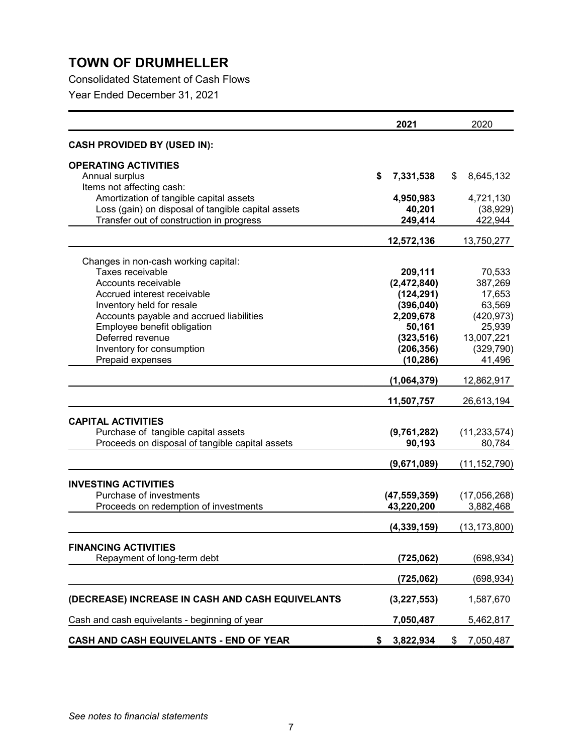Consolidated Statement of Cash Flows

Year Ended December 31, 2021

|                                                    | 2021            | 2020            |
|----------------------------------------------------|-----------------|-----------------|
| <b>CASH PROVIDED BY (USED IN):</b>                 |                 |                 |
| <b>OPERATING ACTIVITIES</b>                        |                 |                 |
| Annual surplus                                     | \$<br>7,331,538 | \$<br>8,645,132 |
| Items not affecting cash:                          |                 |                 |
| Amortization of tangible capital assets            | 4,950,983       | 4,721,130       |
| Loss (gain) on disposal of tangible capital assets | 40,201          | (38, 929)       |
| Transfer out of construction in progress           | 249,414         | 422,944         |
|                                                    | 12,572,136      | 13,750,277      |
| Changes in non-cash working capital:               |                 |                 |
| Taxes receivable                                   | 209,111         | 70,533          |
| Accounts receivable                                | (2,472,840)     | 387,269         |
| Accrued interest receivable                        | (124, 291)      | 17,653          |
| Inventory held for resale                          | (396, 040)      | 63,569          |
| Accounts payable and accrued liabilities           | 2,209,678       | (420, 973)      |
| Employee benefit obligation                        | 50,161          | 25,939          |
| Deferred revenue                                   | (323, 516)      | 13,007,221      |
| Inventory for consumption                          | (206, 356)      | (329, 790)      |
| Prepaid expenses                                   | (10, 286)       | 41,496          |
|                                                    | (1,064,379)     | 12,862,917      |
|                                                    | 11,507,757      | 26,613,194      |
| <b>CAPITAL ACTIVITIES</b>                          |                 |                 |
| Purchase of tangible capital assets                | (9,761,282)     | (11, 233, 574)  |
| Proceeds on disposal of tangible capital assets    | 90,193          | 80,784          |
|                                                    |                 |                 |
|                                                    | (9,671,089)     | (11, 152, 790)  |
| <b>INVESTING ACTIVITIES</b>                        |                 |                 |
| Purchase of investments                            | (47, 559, 359)  | (17,056,268)    |
| Proceeds on redemption of investments              | 43,220,200      | 3,882,468       |
|                                                    | (4, 339, 159)   | (13,173,800)    |
| <b>FINANCING ACTIVITIES</b>                        |                 |                 |
| Repayment of long-term debt                        | (725,062)       | (698,934)       |
|                                                    |                 |                 |
|                                                    | (725, 062)      | (698, 934)      |
| (DECREASE) INCREASE IN CASH AND CASH EQUIVELANTS   | (3,227,553)     | 1,587,670       |
| Cash and cash equivelants - beginning of year      | 7,050,487       | 5,462,817       |
| CASH AND CASH EQUIVELANTS - END OF YEAR            | \$<br>3,822,934 | \$<br>7,050,487 |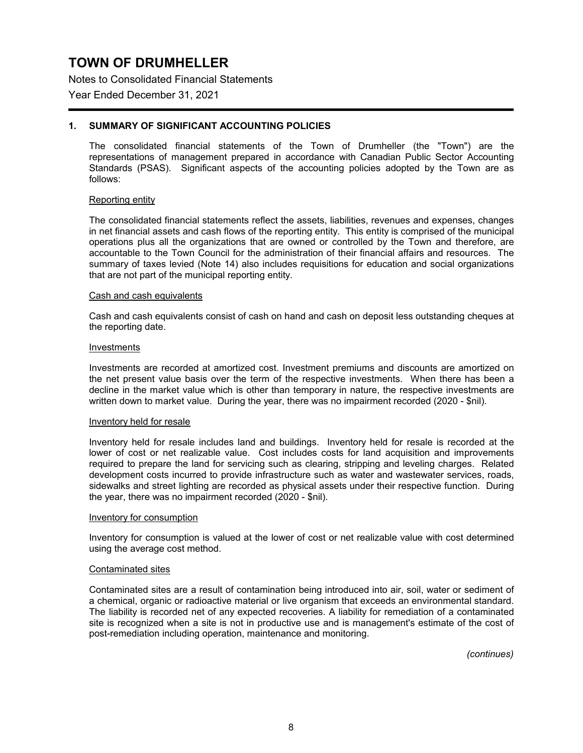Notes to Consolidated Financial Statements

Year Ended December 31, 2021

### **1. SUMMARY OF SIGNIFICANT ACCOUNTING POLICIES**

The consolidated financial statements of the Town of Drumheller (the "Town") are the representations of management prepared in accordance with Canadian Public Sector Accounting Standards (PSAS). Significant aspects of the accounting policies adopted by the Town are as follows:

#### Reporting entity

The consolidated financial statements reflect the assets, liabilities, revenues and expenses, changes in net financial assets and cash flows of the reporting entity. This entity is comprised of the municipal operations plus all the organizations that are owned or controlled by the Town and therefore, are accountable to the Town Council for the administration of their financial affairs and resources. The summary of taxes levied (Note 14) also includes requisitions for education and social organizations that are not part of the municipal reporting entity.

#### Cash and cash equivalents

Cash and cash equivalents consist of cash on hand and cash on deposit less outstanding cheques at the reporting date.

#### Investments

Investments are recorded at amortized cost. Investment premiums and discounts are amortized on the net present value basis over the term of the respective investments. When there has been a decline in the market value which is other than temporary in nature, the respective investments are written down to market value. During the year, there was no impairment recorded (2020 - \$nil).

#### Inventory held for resale

Inventory held for resale includes land and buildings. Inventory held for resale is recorded at the lower of cost or net realizable value. Cost includes costs for land acquisition and improvements required to prepare the land for servicing such as clearing, stripping and leveling charges. Related development costs incurred to provide infrastructure such as water and wastewater services, roads, sidewalks and street lighting are recorded as physical assets under their respective function. During the year, there was no impairment recorded (2020 - \$nil).

#### Inventory for consumption

Inventory for consumption is valued at the lower of cost or net realizable value with cost determined using the average cost method.

#### Contaminated sites

Contaminated sites are a result of contamination being introduced into air, soil, water or sediment of a chemical, organic or radioactive material or live organism that exceeds an environmental standard. The liability is recorded net of any expected recoveries. A liability for remediation of a contaminated site is recognized when a site is not in productive use and is management's estimate of the cost of post-remediation including operation, maintenance and monitoring.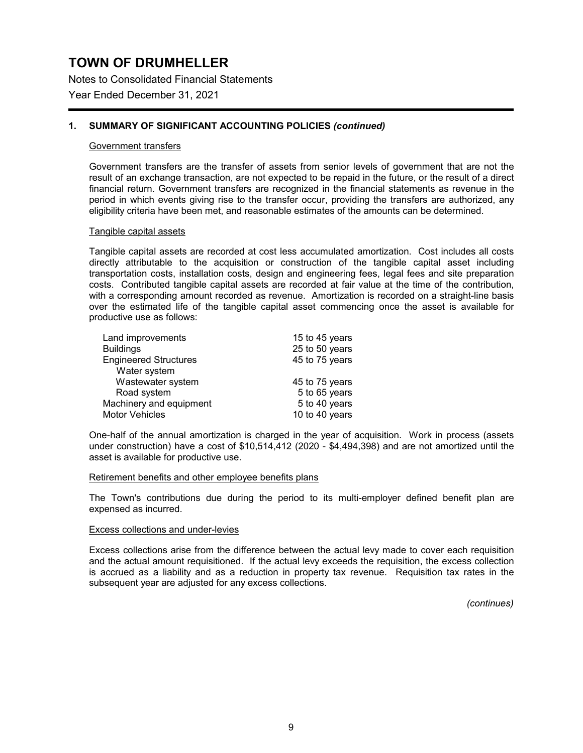Notes to Consolidated Financial Statements

Year Ended December 31, 2021

### **1. SUMMARY OF SIGNIFICANT ACCOUNTING POLICIES** *(continued)*

#### Government transfers

Government transfers are the transfer of assets from senior levels of government that are not the result of an exchange transaction, are not expected to be repaid in the future, or the result of a direct financial return. Government transfers are recognized in the financial statements as revenue in the period in which events giving rise to the transfer occur, providing the transfers are authorized, any eligibility criteria have been met, and reasonable estimates of the amounts can be determined.

#### Tangible capital assets

Tangible capital assets are recorded at cost less accumulated amortization. Cost includes all costs directly attributable to the acquisition or construction of the tangible capital asset including transportation costs, installation costs, design and engineering fees, legal fees and site preparation costs. Contributed tangible capital assets are recorded at fair value at the time of the contribution, with a corresponding amount recorded as revenue. Amortization is recorded on a straight-line basis over the estimated life of the tangible capital asset commencing once the asset is available for productive use as follows:

| Land improvements            | 15 to 45 years |
|------------------------------|----------------|
| <b>Buildings</b>             | 25 to 50 years |
| <b>Engineered Structures</b> | 45 to 75 years |
| Water system                 |                |
| Wastewater system            | 45 to 75 years |
| Road system                  | 5 to 65 years  |
| Machinery and equipment      | 5 to 40 years  |
| <b>Motor Vehicles</b>        | 10 to 40 years |

One-half of the annual amortization is charged in the year of acquisition. Work in process (assets under construction) have a cost of \$10,514,412 (2020 - \$4,494,398) and are not amortized until the asset is available for productive use.

#### Retirement benefits and other employee benefits plans

The Town's contributions due during the period to its multi-employer defined benefit plan are expensed as incurred.

### Excess collections and under-levies

Excess collections arise from the difference between the actual levy made to cover each requisition and the actual amount requisitioned. If the actual levy exceeds the requisition, the excess collection is accrued as a liability and as a reduction in property tax revenue. Requisition tax rates in the subsequent year are adjusted for any excess collections.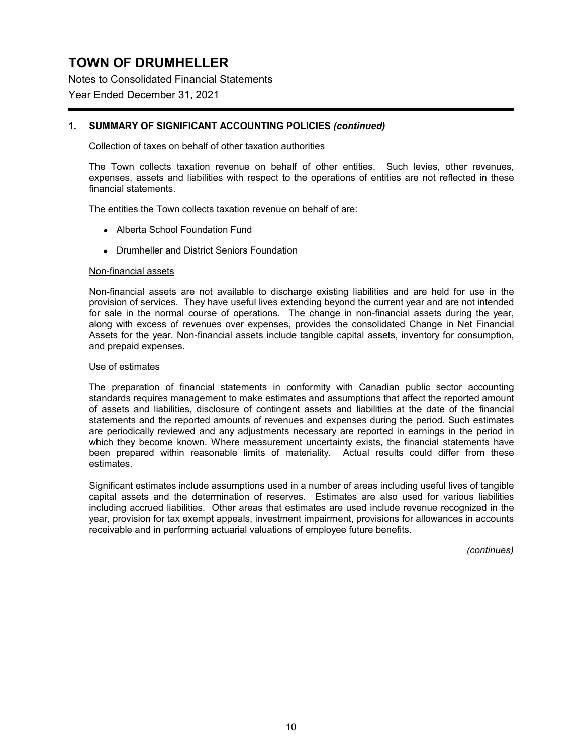Notes to Consolidated Financial Statements

Year Ended December 31, 2021

### **1. SUMMARY OF SIGNIFICANT ACCOUNTING POLICIES** *(continued)*

### Collection of taxes on behalf of other taxation authorities

The Town collects taxation revenue on behalf of other entities. Such levies, other revenues, expenses, assets and liabilities with respect to the operations of entities are not reflected in these financial statements.

The entities the Town collects taxation revenue on behalf of are:

- Alberta School Foundation Fund
- Drumheller and District Seniors Foundation

#### Non-financial assets

Non-financial assets are not available to discharge existing liabilities and are held for use in the provision of services. They have useful lives extending beyond the current year and are not intended for sale in the normal course of operations. The change in non-financial assets during the year, along with excess of revenues over expenses, provides the consolidated Change in Net Financial Assets for the year. Non-financial assets include tangible capital assets, inventory for consumption, and prepaid expenses.

### Use of estimates

The preparation of financial statements in conformity with Canadian public sector accounting standards requires management to make estimates and assumptions that affect the reported amount of assets and liabilities, disclosure of contingent assets and liabilities at the date of the financial statements and the reported amounts of revenues and expenses during the period. Such estimates are periodically reviewed and any adjustments necessary are reported in earnings in the period in which they become known. Where measurement uncertainty exists, the financial statements have been prepared within reasonable limits of materiality. Actual results could differ from these estimates.

Significant estimates include assumptions used in a number of areas including useful lives of tangible capital assets and the determination of reserves. Estimates are also used for various liabilities including accrued liabilities. Other areas that estimates are used include revenue recognized in the year, provision for tax exempt appeals, investment impairment, provisions for allowances in accounts receivable and in performing actuarial valuations of employee future benefits.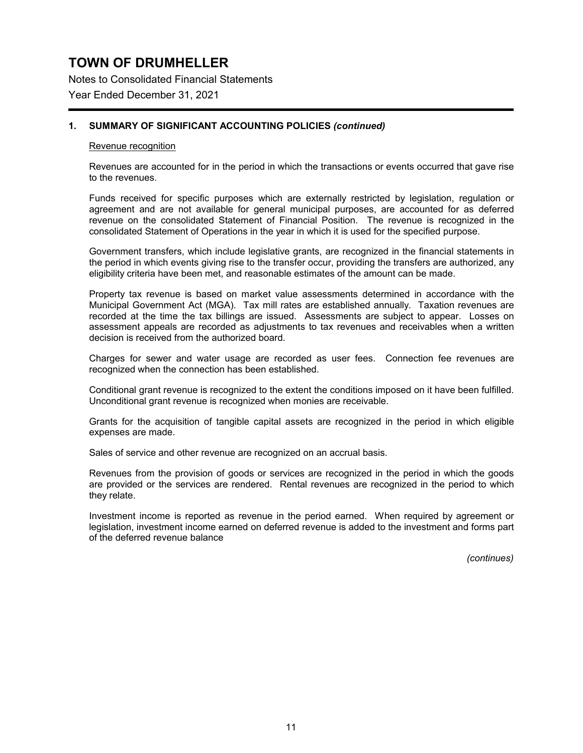Notes to Consolidated Financial Statements Year Ended December 31, 2021

# **1. SUMMARY OF SIGNIFICANT ACCOUNTING POLICIES** *(continued)*

#### Revenue recognition

Revenues are accounted for in the period in which the transactions or events occurred that gave rise to the revenues.

Funds received for specific purposes which are externally restricted by legislation, regulation or agreement and are not available for general municipal purposes, are accounted for as deferred revenue on the consolidated Statement of Financial Position. The revenue is recognized in the consolidated Statement of Operations in the year in which it is used for the specified purpose.

Government transfers, which include legislative grants, are recognized in the financial statements in the period in which events giving rise to the transfer occur, providing the transfers are authorized, any eligibility criteria have been met, and reasonable estimates of the amount can be made.

Property tax revenue is based on market value assessments determined in accordance with the Municipal Government Act (MGA). Tax mill rates are established annually. Taxation revenues are recorded at the time the tax billings are issued. Assessments are subject to appear. Losses on assessment appeals are recorded as adjustments to tax revenues and receivables when a written decision is received from the authorized board.

Charges for sewer and water usage are recorded as user fees. Connection fee revenues are recognized when the connection has been established.

Conditional grant revenue is recognized to the extent the conditions imposed on it have been fulfilled. Unconditional grant revenue is recognized when monies are receivable.

Grants for the acquisition of tangible capital assets are recognized in the period in which eligible expenses are made.

Sales of service and other revenue are recognized on an accrual basis.

Revenues from the provision of goods or services are recognized in the period in which the goods are provided or the services are rendered. Rental revenues are recognized in the period to which they relate.

Investment income is reported as revenue in the period earned. When required by agreement or legislation, investment income earned on deferred revenue is added to the investment and forms part of the deferred revenue balance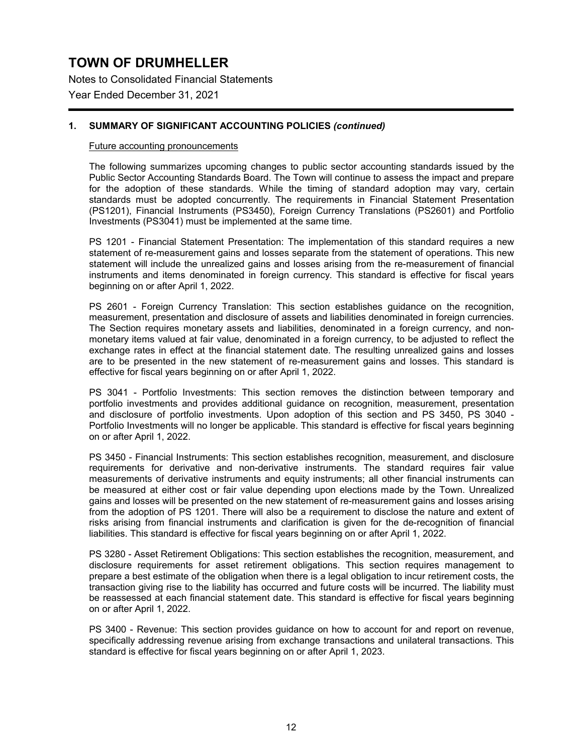Notes to Consolidated Financial Statements Year Ended December 31, 2021

### **1. SUMMARY OF SIGNIFICANT ACCOUNTING POLICIES** *(continued)*

#### Future accounting pronouncements

The following summarizes upcoming changes to public sector accounting standards issued by the Public Sector Accounting Standards Board. The Town will continue to assess the impact and prepare for the adoption of these standards. While the timing of standard adoption may vary, certain standards must be adopted concurrently. The requirements in Financial Statement Presentation (PS1201), Financial Instruments (PS3450), Foreign Currency Translations (PS2601) and Portfolio Investments (PS3041) must be implemented at the same time.

PS 1201 - Financial Statement Presentation: The implementation of this standard requires a new statement of re-measurement gains and losses separate from the statement of operations. This new statement will include the unrealized gains and losses arising from the re-measurement of financial instruments and items denominated in foreign currency. This standard is effective for fiscal years beginning on or after April 1, 2022.

PS 2601 - Foreign Currency Translation: This section establishes guidance on the recognition, measurement, presentation and disclosure of assets and liabilities denominated in foreign currencies. The Section requires monetary assets and liabilities, denominated in a foreign currency, and nonmonetary items valued at fair value, denominated in a foreign currency, to be adjusted to reflect the exchange rates in effect at the financial statement date. The resulting unrealized gains and losses are to be presented in the new statement of re-measurement gains and losses. This standard is effective for fiscal years beginning on or after April 1, 2022.

PS 3041 - Portfolio Investments: This section removes the distinction between temporary and portfolio investments and provides additional guidance on recognition, measurement, presentation and disclosure of portfolio investments. Upon adoption of this section and PS 3450, PS 3040 - Portfolio Investments will no longer be applicable. This standard is effective for fiscal years beginning on or after April 1, 2022.

PS 3450 - Financial Instruments: This section establishes recognition, measurement, and disclosure requirements for derivative and non-derivative instruments. The standard requires fair value measurements of derivative instruments and equity instruments; all other financial instruments can be measured at either cost or fair value depending upon elections made by the Town. Unrealized gains and losses will be presented on the new statement of re-measurement gains and losses arising from the adoption of PS 1201. There will also be a requirement to disclose the nature and extent of risks arising from financial instruments and clarification is given for the de-recognition of financial liabilities. This standard is effective for fiscal years beginning on or after April 1, 2022.

PS 3280 - Asset Retirement Obligations: This section establishes the recognition, measurement, and disclosure requirements for asset retirement obligations. This section requires management to prepare a best estimate of the obligation when there is a legal obligation to incur retirement costs, the transaction giving rise to the liability has occurred and future costs will be incurred. The liability must be reassessed at each financial statement date. This standard is effective for fiscal years beginning on or after April 1, 2022.

PS 3400 - Revenue: This section provides guidance on how to account for and report on revenue, specifically addressing revenue arising from exchange transactions and unilateral transactions. This standard is effective for fiscal years beginning on or after April 1, 2023.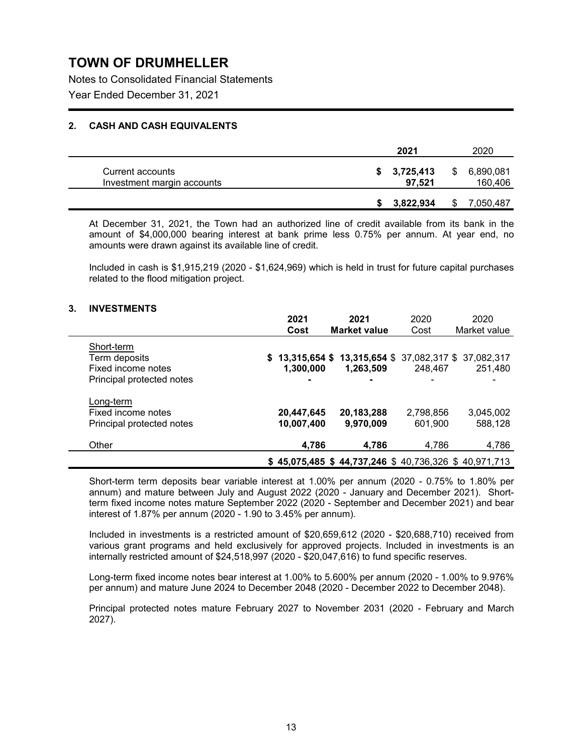Notes to Consolidated Financial Statements Year Ended December 31, 2021

### **2. CASH AND CASH EQUIVALENTS**

|                                                | 2021                  |    | 2020                 |
|------------------------------------------------|-----------------------|----|----------------------|
| Current accounts<br>Investment margin accounts | \$3,725,413<br>97.521 | \$ | 6,890,081<br>160,406 |
|                                                | 3,822,934             | S  | 7,050,487            |

At December 31, 2021, the Town had an authorized line of credit available from its bank in the amount of \$4,000,000 bearing interest at bank prime less 0.75% per annum. At year end, no amounts were drawn against its available line of credit.

Included in cash is \$1,915,219 (2020 - \$1,624,969) which is held in trust for future capital purchases related to the flood mitigation project.

### **3. INVESTMENTS**

|                           | 2021           | 2021                                                | 2020      | 2020         |
|---------------------------|----------------|-----------------------------------------------------|-----------|--------------|
|                           | Cost           | <b>Market value</b>                                 | Cost      | Market value |
| Short-term                |                |                                                     |           |              |
| Term deposits             |                | $$13,315,654 $13,315,654 $37,082,317 $37,082,317$   |           |              |
| Fixed income notes        | 1,300,000      | 1,263,509                                           | 248.467   | 251,480      |
| Principal protected notes | $\blacksquare$ | $\blacksquare$                                      |           |              |
| Long-term                 |                |                                                     |           |              |
| Fixed income notes        | 20,447,645     | 20,183,288                                          | 2,798,856 | 3,045,002    |
| Principal protected notes | 10,007,400     | 9,970,009                                           | 601.900   | 588,128      |
| Other                     | 4,786          | 4.786                                               | 4,786     | 4,786        |
|                           |                | \$45,075,485 \$44,737,246 \$40,736,326 \$40,971,713 |           |              |

Short-term term deposits bear variable interest at 1.00% per annum (2020 - 0.75% to 1.80% per annum) and mature between July and August 2022 (2020 - January and December 2021). Shortterm fixed income notes mature September 2022 (2020 - September and December 2021) and bear interest of 1.87% per annum (2020 - 1.90 to 3.45% per annum).

Included in investments is a restricted amount of \$20,659,612 (2020 - \$20,688,710) received from various grant programs and held exclusively for approved projects. Included in investments is an internally restricted amount of \$24,518,997 (2020 - \$20,047,616) to fund specific reserves.

Long-term fixed income notes bear interest at 1.00% to 5.600% per annum (2020 - 1.00% to 9.976% per annum) and mature June 2024 to December 2048 (2020 - December 2022 to December 2048).

Principal protected notes mature February 2027 to November 2031 (2020 - February and March 2027).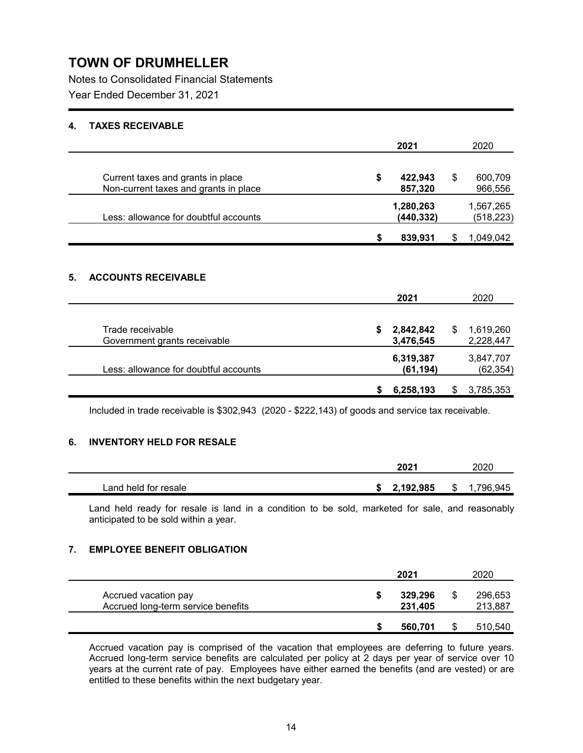Notes to Consolidated Financial Statements Year Ended December 31, 2021

### **4. TAXES RECEIVABLE**

|                                                                            |   | 2021                    |   | 2020                    |
|----------------------------------------------------------------------------|---|-------------------------|---|-------------------------|
| Current taxes and grants in place<br>Non-current taxes and grants in place | S | 422,943<br>857,320      | S | 600,709<br>966,556      |
| Less: allowance for doubtful accounts                                      |   | 1,280,263<br>(440, 332) |   | 1,567,265<br>(518, 223) |
|                                                                            | S | 839,931                 |   | 1.049.042               |

## **5. ACCOUNTS RECEIVABLE**

|                                       |    | 2021      |   | 2020      |
|---------------------------------------|----|-----------|---|-----------|
|                                       |    |           |   |           |
| Trade receivable                      | S. | 2,842,842 | S | 1,619,260 |
| Government grants receivable          |    | 3,476,545 |   | 2,228,447 |
|                                       |    | 6,319,387 |   | 3,847,707 |
| Less: allowance for doubtful accounts |    | (61, 194) |   | (62, 354) |
|                                       |    |           |   |           |
|                                       |    | 6,258,193 |   | 3,785,353 |

Included in trade receivable is \$302,943 (2020 - \$222,143) of goods and service tax receivable.

### **6. INVENTORY HELD FOR RESALE**

|                      |    | 2021      |   | 2020    |
|----------------------|----|-----------|---|---------|
| Land held for resale | -0 | 2,192,985 | S | 796,945 |

Land held ready for resale is land in a condition to be sold, marketed for sale, and reasonably anticipated to be sold within a year.

### **7. EMPLOYEE BENEFIT OBLIGATION**

|                                                            | 2021               | 2020               |
|------------------------------------------------------------|--------------------|--------------------|
| Accrued vacation pay<br>Accrued long-term service benefits | 329,296<br>231,405 | 296,653<br>213,887 |
|                                                            | 560,701            | 510,540            |

Accrued vacation pay is comprised of the vacation that employees are deferring to future years. Accrued long-term service benefits are calculated per policy at 2 days per year of service over 10 years at the current rate of pay. Employees have either earned the benefits (and are vested) or are entitled to these benefits within the next budgetary year.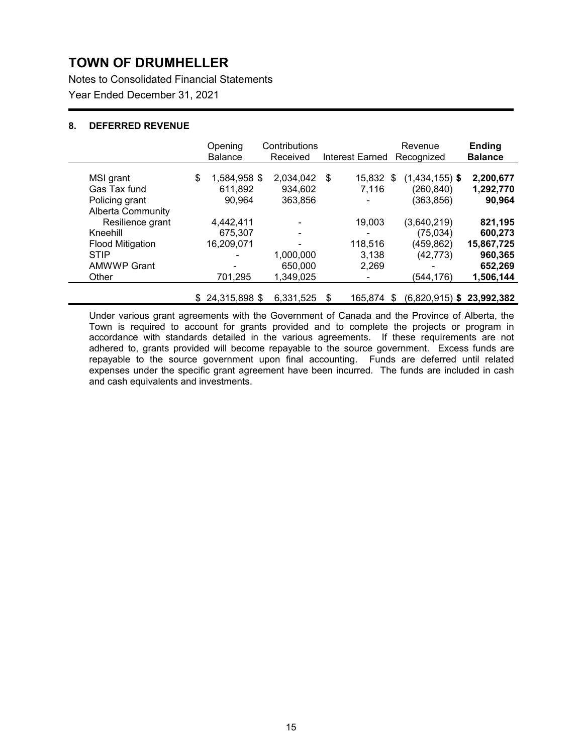Notes to Consolidated Financial Statements Year Ended December 31, 2021

### **8. DEFERRED REVENUE**

|                          | Opening<br><b>Balance</b> | Contributions<br>Received |      | Interest Earned | Revenue<br>Recognized             | <b>Ending</b><br><b>Balance</b> |
|--------------------------|---------------------------|---------------------------|------|-----------------|-----------------------------------|---------------------------------|
| MSI grant                | \$<br>1,584,958 \$        | 2,034,042                 | - \$ | 15,832 \$       | $(1,434,155)$ \$                  | 2,200,677                       |
| Gas Tax fund             | 611.892                   | 934.602                   |      | 7.116           | (260, 840)                        | 1,292,770                       |
| Policing grant           | 90,964                    | 363,856                   |      |                 | (363, 856)                        | 90,964                          |
| <b>Alberta Community</b> |                           |                           |      |                 |                                   |                                 |
| Resilience grant         | 4,442,411                 | -                         |      | 19,003          | (3,640,219)                       | 821,195                         |
| Kneehill                 | 675.307                   | ۰                         |      |                 | (75, 034)                         | 600,273                         |
| <b>Flood Mitigation</b>  | 16,209,071                | ۰                         |      | 118,516         | (459, 862)                        | 15,867,725                      |
| <b>STIP</b>              |                           | 1,000,000                 |      | 3,138           | (42, 773)                         | 960,365                         |
| <b>AMWWP Grant</b>       |                           | 650,000                   |      | 2,269           | -                                 | 652,269                         |
| Other                    | 701,295                   | 1,349,025                 |      |                 | (544,176)                         | 1,506,144                       |
|                          | \$<br>24,315,898 \$       | 6,331,525                 | \$.  | 165.874         | \$<br>$(6,820,915)$ \$ 23,992,382 |                                 |

Under various grant agreements with the Government of Canada and the Province of Alberta, the Town is required to account for grants provided and to complete the projects or program in accordance with standards detailed in the various agreements. If these requirements are not adhered to, grants provided will become repayable to the source government. Excess funds are repayable to the source government upon final accounting. Funds are deferred until related expenses under the specific grant agreement have been incurred. The funds are included in cash and cash equivalents and investments.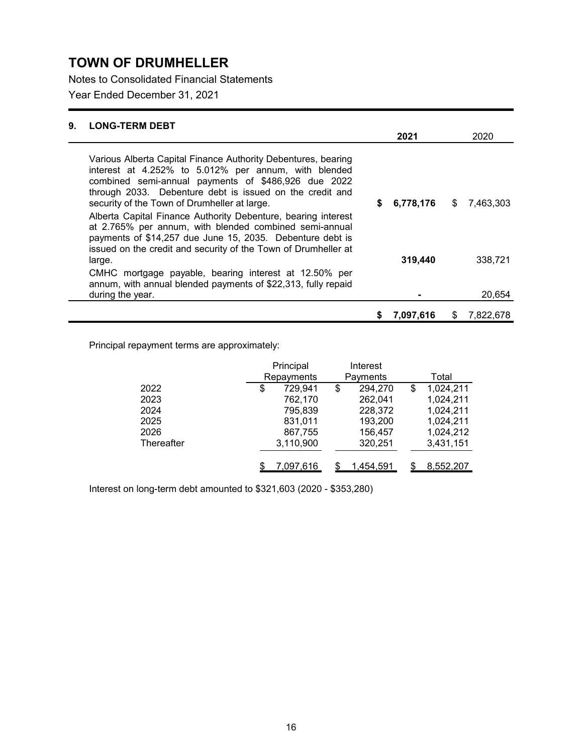Notes to Consolidated Financial Statements

Year Ended December 31, 2021

| 9. | <b>LONG-TERM DEBT</b>                                                                                                                                                                                                                                                                    |   |           |    |           |
|----|------------------------------------------------------------------------------------------------------------------------------------------------------------------------------------------------------------------------------------------------------------------------------------------|---|-----------|----|-----------|
|    |                                                                                                                                                                                                                                                                                          |   | 2021      |    | 2020      |
|    | Various Alberta Capital Finance Authority Debentures, bearing<br>interest at 4.252% to 5.012% per annum, with blended<br>combined semi-annual payments of \$486,926 due 2022<br>through 2033. Debenture debt is issued on the credit and<br>security of the Town of Drumheller at large. | S | 6,778,176 | \$ | 7,463,303 |
|    | Alberta Capital Finance Authority Debenture, bearing interest<br>at 2.765% per annum, with blended combined semi-annual<br>payments of \$14,257 due June 15, 2035. Debenture debt is<br>issued on the credit and security of the Town of Drumheller at                                   |   |           |    |           |
|    | large.                                                                                                                                                                                                                                                                                   |   | 319,440   |    | 338,721   |
|    | CMHC mortgage payable, bearing interest at 12.50% per<br>annum, with annual blended payments of \$22,313, fully repaid                                                                                                                                                                   |   |           |    |           |
|    | during the year.                                                                                                                                                                                                                                                                         |   |           |    | 20,654    |
|    |                                                                                                                                                                                                                                                                                          | 5 | 7,097,616 | S  | 7,822,678 |

Principal repayment terms are approximately:

|            | Principal     | Interest      |                 |
|------------|---------------|---------------|-----------------|
|            | Repayments    | Payments      | Total           |
| 2022       | \$<br>729,941 | \$<br>294,270 | \$<br>1,024,211 |
| 2023       | 762,170       | 262,041       | 1,024,211       |
| 2024       | 795,839       | 228,372       | 1,024,211       |
| 2025       | 831,011       | 193,200       | 1,024,211       |
| 2026       | 867,755       | 156,457       | 1,024,212       |
| Thereafter | 3,110,900     | 320,251       | 3,431,151       |
|            |               |               |                 |
|            | 7,097,616     | 1,454,591     | 8,552,207       |

Interest on long-term debt amounted to \$321,603 (2020 - \$353,280)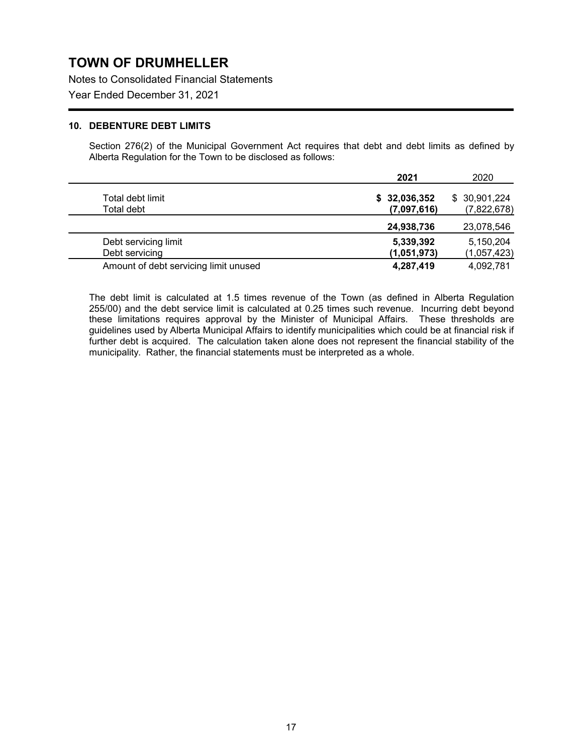Notes to Consolidated Financial Statements

Year Ended December 31, 2021

### **10. DEBENTURE DEBT LIMITS**

Section 276(2) of the Municipal Government Act requires that debt and debt limits as defined by Alberta Regulation for the Town to be disclosed as follows:

|                                       | 2021         | 2020         |
|---------------------------------------|--------------|--------------|
| Total debt limit                      | \$32,036,352 | \$30,901,224 |
| Total debt                            | (7,097,616)  | (7,822,678)  |
|                                       | 24,938,736   | 23,078,546   |
| Debt servicing limit                  | 5,339,392    | 5,150,204    |
| Debt servicing                        | (1,051,973)  | (1,057,423)  |
| Amount of debt servicing limit unused | 4,287,419    | 4,092,781    |

The debt limit is calculated at 1.5 times revenue of the Town (as defined in Alberta Regulation 255/00) and the debt service limit is calculated at 0.25 times such revenue. Incurring debt beyond these limitations requires approval by the Minister of Municipal Affairs. These thresholds are guidelines used by Alberta Municipal Affairs to identify municipalities which could be at financial risk if further debt is acquired. The calculation taken alone does not represent the financial stability of the municipality. Rather, the financial statements must be interpreted as a whole.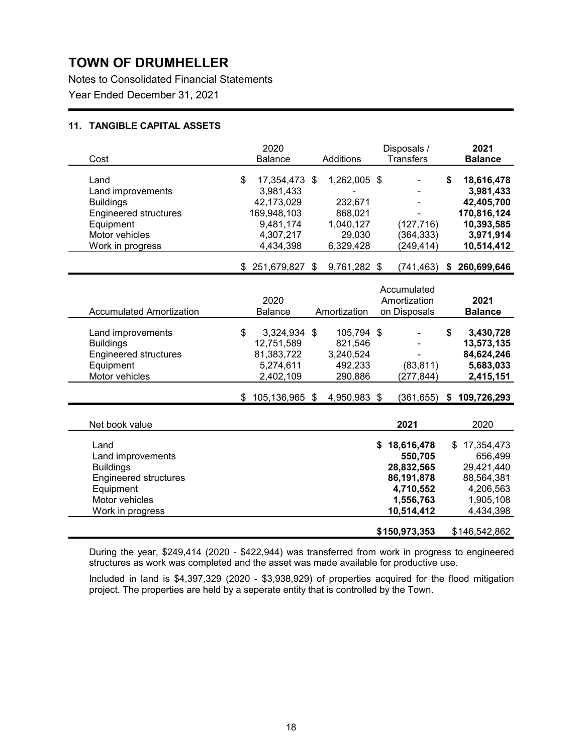Notes to Consolidated Financial Statements Year Ended December 31, 2021

### **11. TANGIBLE CAPITAL ASSETS**

| Cost                                                                                                                             | 2020<br><b>Balance</b>                                                                               | <b>Additions</b>                                                       | Disposals /<br><b>Transfers</b>                                                                   | 2021<br><b>Balance</b>                                                                              |
|----------------------------------------------------------------------------------------------------------------------------------|------------------------------------------------------------------------------------------------------|------------------------------------------------------------------------|---------------------------------------------------------------------------------------------------|-----------------------------------------------------------------------------------------------------|
| Land<br>Land improvements<br><b>Buildings</b><br><b>Engineered structures</b><br>Equipment<br>Motor vehicles<br>Work in progress | \$<br>17,354,473 \$<br>3,981,433<br>42,173,029<br>169,948,103<br>9,481,174<br>4,307,217<br>4,434,398 | 1,262,005 \$<br>232,671<br>868,021<br>1,040,127<br>29,030<br>6,329,428 | (127, 716)<br>(364, 333)<br>(249, 414)                                                            | \$<br>18,616,478<br>3,981,433<br>42,405,700<br>170,816,124<br>10,393,585<br>3,971,914<br>10,514,412 |
|                                                                                                                                  | $$251,679,827$ \$                                                                                    | 9,761,282 \$                                                           | (741, 463)                                                                                        | \$260,699,646                                                                                       |
| <b>Accumulated Amortization</b>                                                                                                  | 2020<br><b>Balance</b>                                                                               | Amortization                                                           | Accumulated<br>Amortization<br>on Disposals                                                       | 2021<br><b>Balance</b>                                                                              |
| Land improvements<br><b>Buildings</b><br><b>Engineered structures</b><br>Equipment<br>Motor vehicles                             | \$<br>3,324,934 \$<br>12,751,589<br>81,383,722<br>5,274,611<br>2,402,109                             | 105,794 \$<br>821,546<br>3,240,524<br>492,233<br>290,886               | (83, 811)<br>(277, 844)                                                                           | \$<br>3,430,728<br>13,573,135<br>84,624,246<br>5,683,033<br>2,415,151                               |
|                                                                                                                                  | $$105,136,965$ \$                                                                                    | 4,950,983 \$                                                           |                                                                                                   | $(361, 655)$ \$ 109,726,293                                                                         |
| Net book value                                                                                                                   |                                                                                                      |                                                                        | 2021                                                                                              | 2020                                                                                                |
| Land<br>Land improvements<br><b>Buildings</b><br><b>Engineered structures</b><br>Equipment<br>Motor vehicles<br>Work in progress |                                                                                                      |                                                                        | \$<br>18,616,478<br>550,705<br>28,832,565<br>86, 191, 878<br>4,710,552<br>1,556,763<br>10,514,412 | \$<br>17,354,473<br>656,499<br>29,421,440<br>88,564,381<br>4,206,563<br>1,905,108<br>4,434,398      |
|                                                                                                                                  |                                                                                                      |                                                                        | \$150,973,353                                                                                     | \$146,542,862                                                                                       |

During the year, \$249,414 (2020 - \$422,944) was transferred from work in progress to engineered structures as work was completed and the asset was made available for productive use.

Included in land is \$4,397,329 (2020 - \$3,938,929) of properties acquired for the flood mitigation project. The properties are held by a seperate entity that is controlled by the Town.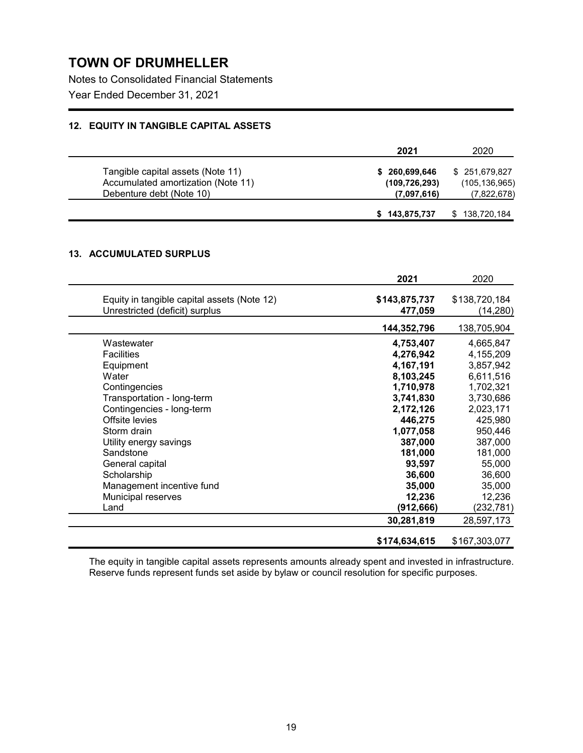Notes to Consolidated Financial Statements Year Ended December 31, 2021

### **12. EQUITY IN TANGIBLE CAPITAL ASSETS**

|                                    | 2021            | 2020            |
|------------------------------------|-----------------|-----------------|
| Tangible capital assets (Note 11)  | \$260,699,646   | \$251,679,827   |
| Accumulated amortization (Note 11) | (109, 726, 293) | (105, 136, 965) |
| Debenture debt (Note 10)           | (7,097,616)     | (7,822,678)     |
|                                    | \$143,875,737   | 138,720,184     |

## **13. ACCUMULATED SURPLUS**

|                                                                               | 2021                     | 2020                      |
|-------------------------------------------------------------------------------|--------------------------|---------------------------|
| Equity in tangible capital assets (Note 12)<br>Unrestricted (deficit) surplus | \$143,875,737<br>477,059 | \$138,720,184<br>(14,280) |
|                                                                               | 144,352,796              | 138,705,904               |
| Wastewater                                                                    | 4,753,407                | 4,665,847                 |
| <b>Facilities</b>                                                             | 4,276,942                | 4,155,209                 |
| Equipment                                                                     | 4,167,191                | 3,857,942                 |
| Water                                                                         | 8,103,245                | 6,611,516                 |
| Contingencies                                                                 | 1,710,978                | 1,702,321                 |
| Transportation - long-term                                                    | 3,741,830                | 3,730,686                 |
| Contingencies - long-term                                                     | 2,172,126                | 2,023,171                 |
| Offsite levies                                                                | 446,275                  | 425,980                   |
| Storm drain                                                                   | 1,077,058                | 950,446                   |
| Utility energy savings                                                        | 387,000                  | 387,000                   |
| Sandstone                                                                     | 181,000                  | 181,000                   |
| General capital                                                               | 93,597                   | 55,000                    |
| Scholarship                                                                   | 36,600                   | 36,600                    |
| Management incentive fund                                                     | 35,000                   | 35,000                    |
| Municipal reserves                                                            | 12,236                   | 12,236                    |
| Land                                                                          | (912,666)                | (232,781)                 |
|                                                                               | 30,281,819               | 28,597,173                |
|                                                                               | \$174,634,615            | \$167,303,077             |

The equity in tangible capital assets represents amounts already spent and invested in infrastructure. Reserve funds represent funds set aside by bylaw or council resolution for specific purposes.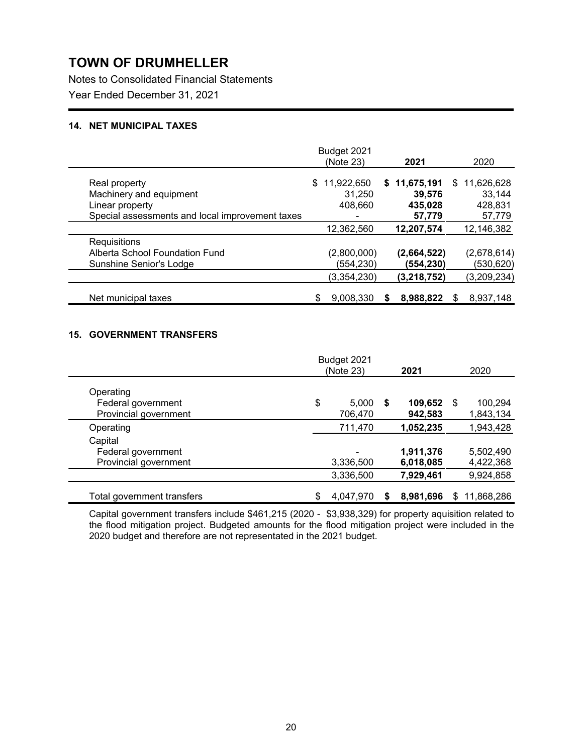Notes to Consolidated Financial Statements Year Ended December 31, 2021

### **14. NET MUNICIPAL TAXES**

|                                                 | Budget 2021<br>(Note 23) | 2021          | 2020         |
|-------------------------------------------------|--------------------------|---------------|--------------|
| Real property                                   | \$.<br>11,922,650        | \$11,675,191  | \$11,626,628 |
| Machinery and equipment                         | 31,250                   | 39,576        | 33,144       |
| Linear property                                 | 408,660                  | 435,028       | 428,831      |
| Special assessments and local improvement taxes |                          | 57,779        | 57,779       |
|                                                 | 12,362,560               | 12,207,574    | 12,146,382   |
| Requisitions                                    |                          |               |              |
| Alberta School Foundation Fund                  | (2,800,000)              | (2,664,522)   | (2,678,614)  |
| Sunshine Senior's Lodge                         | (554, 230)               | (554,230)     | (530, 620)   |
|                                                 | (3,354,230)              | (3, 218, 752) | (3,209,234)  |
| Net municipal taxes                             | 9,008,330                | 8,988,822     | 8,937,148    |

### **15. GOVERNMENT TRANSFERS**

|                                                          | Budget 2021            |   |                    |    |                      |
|----------------------------------------------------------|------------------------|---|--------------------|----|----------------------|
|                                                          | (Note 23)              |   | 2021               |    | 2020                 |
| Operating<br>Federal government<br>Provincial government | \$<br>5,000<br>706,470 | S | 109,652<br>942,583 | -S | 100,294<br>1,843,134 |
| Operating                                                | 711,470                |   | 1,052,235          |    | 1,943,428            |
| Capital                                                  |                        |   |                    |    |                      |
| Federal government                                       | $\blacksquare$         |   | 1,911,376          |    | 5,502,490            |
| Provincial government                                    | 3,336,500              |   | 6,018,085          |    | 4,422,368            |
|                                                          | 3,336,500              |   | 7,929,461          |    | 9,924,858            |
| Total government transfers                               | 4,047,970              | S | 8,981,696          | S  | 11,868,286           |

Capital government transfers include \$461,215 (2020 - \$3,938,329) for property aquisition related to the flood mitigation project. Budgeted amounts for the flood mitigation project were included in the 2020 budget and therefore are not representated in the 2021 budget.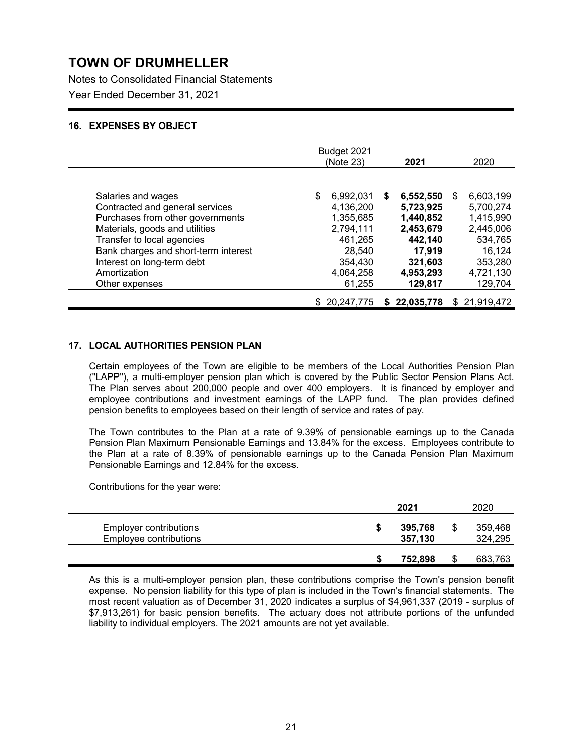Notes to Consolidated Financial Statements Year Ended December 31, 2021

### **16. EXPENSES BY OBJECT**

|                                                                                                                                                                                                                                 | Budget 2021<br>(Note 23)                                                               | 2021                                                                                  | 2020                                                                                  |
|---------------------------------------------------------------------------------------------------------------------------------------------------------------------------------------------------------------------------------|----------------------------------------------------------------------------------------|---------------------------------------------------------------------------------------|---------------------------------------------------------------------------------------|
| Salaries and wages<br>Contracted and general services<br>Purchases from other governments<br>Materials, goods and utilities<br>Transfer to local agencies<br>Bank charges and short-term interest<br>Interest on long-term debt | \$<br>6,992,031<br>4,136,200<br>1,355,685<br>2,794,111<br>461,265<br>28,540<br>354,430 | 6,552,550<br>S<br>5,723,925<br>1,440,852<br>2,453,679<br>442,140<br>17,919<br>321,603 | 6,603,199<br>S<br>5,700,274<br>1,415,990<br>2,445,006<br>534,765<br>16.124<br>353,280 |
| Amortization<br>Other expenses                                                                                                                                                                                                  | 4,064,258<br>61,255                                                                    | 4,953,293<br>129,817                                                                  | 4,721,130<br>129,704                                                                  |
|                                                                                                                                                                                                                                 | \$20.247.775                                                                           | \$22,035,778                                                                          | \$21,919,472                                                                          |

### **17. LOCAL AUTHORITIES PENSION PLAN**

Certain employees of the Town are eligible to be members of the Local Authorities Pension Plan ("LAPP"), a multi-employer pension plan which is covered by the Public Sector Pension Plans Act. The Plan serves about 200,000 people and over 400 employers. It is financed by employer and employee contributions and investment earnings of the LAPP fund. The plan provides defined pension benefits to employees based on their length of service and rates of pay.

The Town contributes to the Plan at a rate of 9.39% of pensionable earnings up to the Canada Pension Plan Maximum Pensionable Earnings and 13.84% for the excess. Employees contribute to the Plan at a rate of 8.39% of pensionable earnings up to the Canada Pension Plan Maximum Pensionable Earnings and 12.84% for the excess.

Contributions for the year were:

|                                                         | 2021               | 2020               |
|---------------------------------------------------------|--------------------|--------------------|
| <b>Employer contributions</b><br>Employee contributions | 395,768<br>357,130 | 359,468<br>324,295 |
|                                                         | 752.898            | 683,763            |

As this is a multi-employer pension plan, these contributions comprise the Town's pension benefit expense. No pension liability for this type of plan is included in the Town's financial statements. The most recent valuation as of December 31, 2020 indicates a surplus of \$4,961,337 (2019 - surplus of \$7,913,261) for basic pension benefits. The actuary does not attribute portions of the unfunded liability to individual employers. The 2021 amounts are not yet available.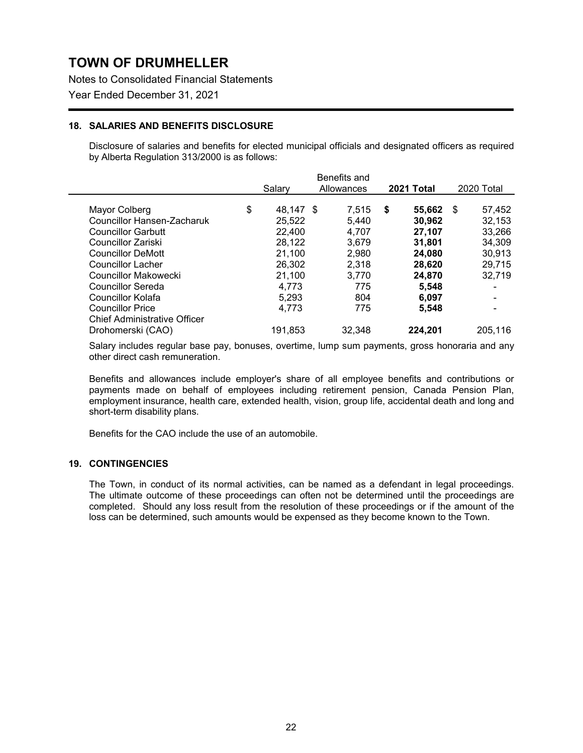Notes to Consolidated Financial Statements

Year Ended December 31, 2021

### **18. SALARIES AND BENEFITS DISCLOSURE**

Disclosure of salaries and benefits for elected municipal officials and designated officers as required by Alberta Regulation 313/2000 is as follows:

|                                     |           | Benefits and |              |             |
|-------------------------------------|-----------|--------------|--------------|-------------|
|                                     | Salarv    | Allowances   | 2021 Total   | 2020 Total  |
| \$<br>Mayor Colberg                 | 48.147 \$ | 7.515        | \$<br>55.662 | 57,452<br>S |
| <b>Councillor Hansen-Zacharuk</b>   | 25.522    | 5,440        | 30,962       | 32,153      |
| <b>Councillor Garbutt</b>           | 22,400    | 4.707        | 27,107       | 33,266      |
| Councillor Zariski                  | 28,122    | 3.679        | 31.801       | 34,309      |
| <b>Councillor DeMott</b>            | 21.100    | 2.980        | 24,080       | 30,913      |
| <b>Councillor Lacher</b>            | 26,302    | 2.318        | 28,620       | 29,715      |
| Councillor Makowecki                | 21.100    | 3,770        | 24.870       | 32,719      |
| Councillor Sereda                   | 4,773     | 775          | 5,548        |             |
| Councillor Kolafa                   | 5.293     | 804          | 6.097        |             |
| <b>Councillor Price</b>             | 4.773     | 775          | 5,548        |             |
| <b>Chief Administrative Officer</b> |           |              |              |             |
| Drohomerski (CAO)                   | 191,853   | 32.348       | 224.201      | 205.116     |

Salary includes regular base pay, bonuses, overtime, lump sum payments, gross honoraria and any other direct cash remuneration.

Benefits and allowances include employer's share of all employee benefits and contributions or payments made on behalf of employees including retirement pension, Canada Pension Plan, employment insurance, health care, extended health, vision, group life, accidental death and long and short-term disability plans.

Benefits for the CAO include the use of an automobile.

#### **19. CONTINGENCIES**

The Town, in conduct of its normal activities, can be named as a defendant in legal proceedings. The ultimate outcome of these proceedings can often not be determined until the proceedings are completed. Should any loss result from the resolution of these proceedings or if the amount of the loss can be determined, such amounts would be expensed as they become known to the Town.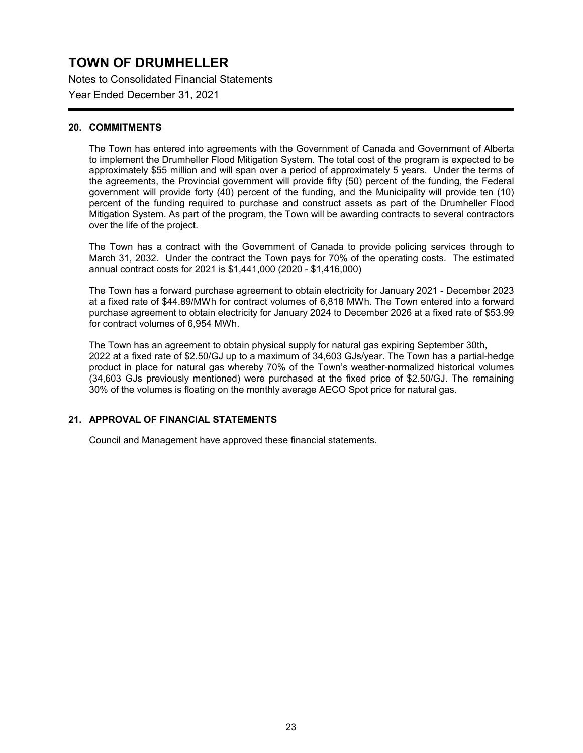Notes to Consolidated Financial Statements

Year Ended December 31, 2021

### **20. COMMITMENTS**

The Town has entered into agreements with the Government of Canada and Government of Alberta to implement the Drumheller Flood Mitigation System. The total cost of the program is expected to be approximately \$55 million and will span over a period of approximately 5 years. Under the terms of the agreements, the Provincial government will provide fifty (50) percent of the funding, the Federal government will provide forty (40) percent of the funding, and the Municipality will provide ten (10) percent of the funding required to purchase and construct assets as part of the Drumheller Flood Mitigation System. As part of the program, the Town will be awarding contracts to several contractors over the life of the project.

The Town has a contract with the Government of Canada to provide policing services through to March 31, 2032. Under the contract the Town pays for 70% of the operating costs. The estimated annual contract costs for 2021 is \$1,441,000 (2020 - \$1,416,000)

The Town has a forward purchase agreement to obtain electricity for January 2021 - December 2023 at a fixed rate of \$44.89/MWh for contract volumes of 6,818 MWh. The Town entered into a forward purchase agreement to obtain electricity for January 2024 to December 2026 at a fixed rate of \$53.99 for contract volumes of 6,954 MWh.

The Town has an agreement to obtain physical supply for natural gas expiring September 30th, 2022 at a fixed rate of \$2.50/GJ up to a maximum of 34,603 GJs/year. The Town has a partial-hedge product in place for natural gas whereby 70% of the Town's weather-normalized historical volumes (34,603 GJs previously mentioned) were purchased at the fixed price of \$2.50/GJ. The remaining 30% of the volumes is floating on the monthly average AECO Spot price for natural gas.

### **21. APPROVAL OF FINANCIAL STATEMENTS**

Council and Management have approved these financial statements.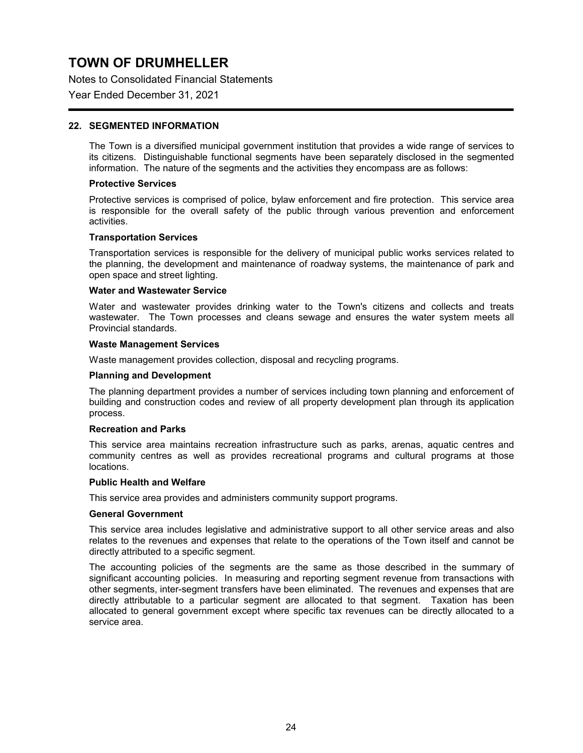Notes to Consolidated Financial Statements

Year Ended December 31, 2021

### **22. SEGMENTED INFORMATION**

The Town is a diversified municipal government institution that provides a wide range of services to its citizens. Distinguishable functional segments have been separately disclosed in the segmented information. The nature of the segments and the activities they encompass are as follows:

#### **Protective Services**

Protective services is comprised of police, bylaw enforcement and fire protection. This service area is responsible for the overall safety of the public through various prevention and enforcement activities.

#### **Transportation Services**

Transportation services is responsible for the delivery of municipal public works services related to the planning, the development and maintenance of roadway systems, the maintenance of park and open space and street lighting.

#### **Water and Wastewater Service**

Water and wastewater provides drinking water to the Town's citizens and collects and treats wastewater. The Town processes and cleans sewage and ensures the water system meets all Provincial standards.

#### **Waste Management Services**

Waste management provides collection, disposal and recycling programs.

#### **Planning and Development**

The planning department provides a number of services including town planning and enforcement of building and construction codes and review of all property development plan through its application process.

#### **Recreation and Parks**

This service area maintains recreation infrastructure such as parks, arenas, aquatic centres and community centres as well as provides recreational programs and cultural programs at those locations.

#### **Public Health and Welfare**

This service area provides and administers community support programs.

#### **General Government**

This service area includes legislative and administrative support to all other service areas and also relates to the revenues and expenses that relate to the operations of the Town itself and cannot be directly attributed to a specific segment.

The accounting policies of the segments are the same as those described in the summary of significant accounting policies. In measuring and reporting segment revenue from transactions with other segments, inter-segment transfers have been eliminated. The revenues and expenses that are directly attributable to a particular segment are allocated to that segment. Taxation has been allocated to general government except where specific tax revenues can be directly allocated to a service area.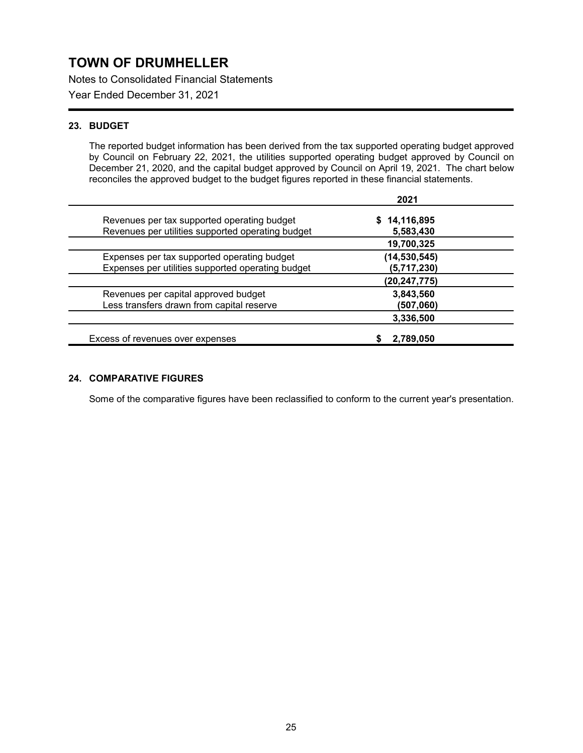Notes to Consolidated Financial Statements

Year Ended December 31, 2021

### **23. BUDGET**

The reported budget information has been derived from the tax supported operating budget approved by Council on February 22, 2021, the utilities supported operating budget approved by Council on December 21, 2020, and the capital budget approved by Council on April 19, 2021. The chart below reconciles the approved budget to the budget figures reported in these financial statements.

|                                                   | 2021         |
|---------------------------------------------------|--------------|
| Revenues per tax supported operating budget       | 14,116,895   |
| Revenues per utilities supported operating budget | 5,583,430    |
|                                                   | 19,700,325   |
| Expenses per tax supported operating budget       | (14,530,545) |
| Expenses per utilities supported operating budget | (5,717,230)  |
|                                                   | (20,247,775) |
| Revenues per capital approved budget              | 3,843,560    |
| Less transfers drawn from capital reserve         | (507,060)    |
|                                                   | 3,336,500    |
| Excess of revenues over expenses                  | 2,789,050    |

### **24. COMPARATIVE FIGURES**

Some of the comparative figures have been reclassified to conform to the current year's presentation.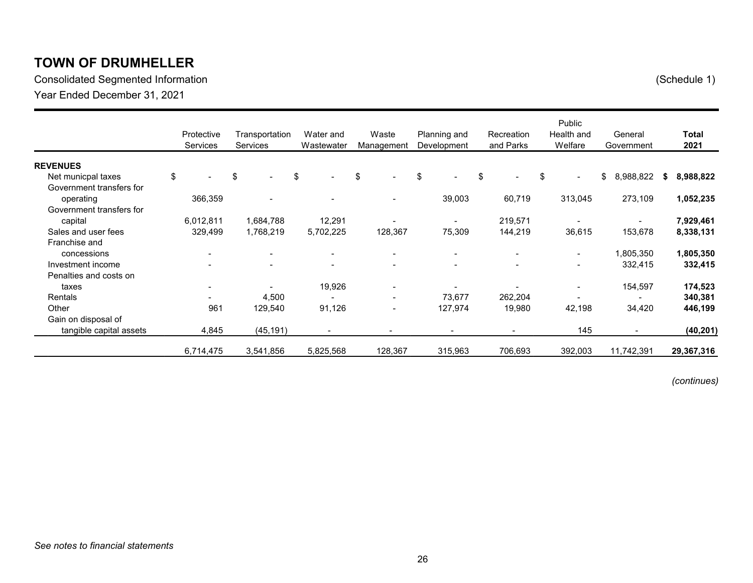Consolidated Segmented Information (Schedule 1) Year Ended December 31, 2021

|                          | Protective<br>Services   | Transportation<br><b>Services</b> | Water and<br>Wastewater  | Waste<br>Management      | Planning and<br>Development | Recreation<br>and Parks | Public<br>Health and<br>Welfare | General<br>Government    |   | <b>Total</b><br>2021 |
|--------------------------|--------------------------|-----------------------------------|--------------------------|--------------------------|-----------------------------|-------------------------|---------------------------------|--------------------------|---|----------------------|
| <b>REVENUES</b>          |                          |                                   |                          |                          |                             |                         |                                 |                          |   |                      |
| Net municpal taxes       | \$                       | \$<br>$\overline{\phantom{0}}$    | \$<br>$\blacksquare$     | \$<br>$\sim$             | \$                          | \$<br>$\sim$            | \$<br>$\blacksquare$            | \$<br>8,988,822          | S | 8,988,822            |
| Government transfers for |                          |                                   |                          |                          |                             |                         |                                 |                          |   |                      |
| operating                | 366,359                  |                                   |                          | $\overline{\phantom{a}}$ | 39,003                      | 60,719                  | 313,045                         | 273,109                  |   | 1,052,235            |
| Government transfers for |                          |                                   |                          |                          |                             |                         |                                 |                          |   |                      |
| capital                  | 6,012,811                | 1,684,788                         | 12,291                   |                          |                             | 219,571                 | $\blacksquare$                  |                          |   | 7,929,461            |
| Sales and user fees      | 329,499                  | 1,768,219                         | 5,702,225                | 128,367                  | 75,309                      | 144,219                 | 36,615                          | 153,678                  |   | 8,338,131            |
| Franchise and            |                          |                                   |                          |                          |                             |                         |                                 |                          |   |                      |
| concessions              | $\overline{\phantom{a}}$ | $\overline{\phantom{a}}$          | $\overline{\phantom{a}}$ | $\overline{\phantom{a}}$ | $\overline{\phantom{a}}$    |                         | $\blacksquare$                  | 1,805,350                |   | 1,805,350            |
| Investment income        |                          | $\overline{\phantom{0}}$          | $\overline{\phantom{0}}$ | $\blacksquare$           |                             |                         | $\overline{\phantom{a}}$        | 332,415                  |   | 332,415              |
| Penalties and costs on   |                          |                                   |                          |                          |                             |                         |                                 |                          |   |                      |
| taxes                    | $\overline{\phantom{a}}$ | $\overline{\phantom{0}}$          | 19,926                   | $\overline{\phantom{a}}$ |                             |                         | $\overline{\phantom{a}}$        | 154,597                  |   | 174,523              |
| <b>Rentals</b>           |                          | 4,500                             |                          | $\blacksquare$           | 73,677                      | 262,204                 |                                 |                          |   | 340,381              |
| Other                    | 961                      | 129,540                           | 91,126                   | $\overline{\phantom{a}}$ | 127,974                     | 19,980                  | 42,198                          | 34,420                   |   | 446,199              |
| Gain on disposal of      |                          |                                   |                          |                          |                             |                         |                                 |                          |   |                      |
| tangible capital assets  | 4,845                    | (45, 191)                         | $\overline{\phantom{a}}$ | $\blacksquare$           | $\overline{\phantom{a}}$    | $\blacksquare$          | 145                             | $\overline{\phantom{a}}$ |   | (40, 201)            |
|                          | 6,714,475                | 3,541,856                         | 5,825,568                | 128,367                  | 315,963                     | 706,693                 | 392,003                         | 11,742,391               |   | 29,367,316           |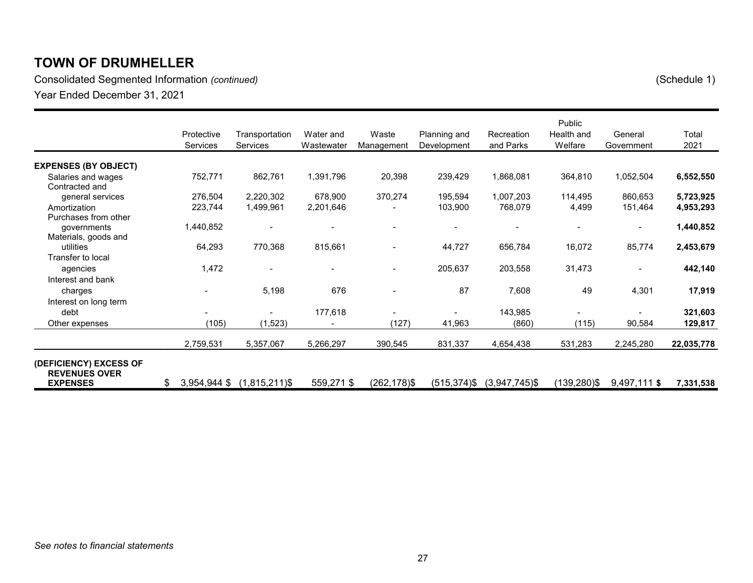Consolidated Segmented Information *(continued)* (Schedule 1) Year Ended December 31, 2021

|                                                       | Protective<br>Services | Transportation<br><b>Services</b> | Water and<br>Wastewater | Waste<br>Management | Planning and<br>Development | Recreation<br>and Parks | Public<br>Health and<br>Welfare | General<br>Government    | Total<br>2021 |
|-------------------------------------------------------|------------------------|-----------------------------------|-------------------------|---------------------|-----------------------------|-------------------------|---------------------------------|--------------------------|---------------|
| <b>EXPENSES (BY OBJECT)</b>                           |                        |                                   |                         |                     |                             |                         |                                 |                          |               |
| Salaries and wages<br>Contracted and                  | 752,771                | 862,761                           | 1,391,796               | 20,398              | 239,429                     | 1,868,081               | 364,810                         | 1,052,504                | 6,552,550     |
| general services                                      | 276,504                | 2,220,302                         | 678,900                 | 370,274             | 195,594                     | 1,007,203               | 114,495                         | 860,653                  | 5,723,925     |
| Amortization                                          | 223,744                | 1,499,961                         | 2,201,646               |                     | 103,900                     | 768,079                 | 4,499                           | 151,464                  | 4,953,293     |
| Purchases from other<br>governments                   | 1,440,852              |                                   |                         |                     |                             |                         |                                 | $\blacksquare$           | 1,440,852     |
| Materials, goods and<br>utilities                     | 64,293                 | 770,368                           | 815,661                 |                     | 44,727                      | 656,784                 | 16,072                          | 85,774                   | 2,453,679     |
| Transfer to local<br>agencies                         | 1,472                  |                                   | $\blacksquare$          | $\blacksquare$      | 205,637                     | 203,558                 | 31,473                          | $\overline{\phantom{0}}$ | 442,140       |
| Interest and bank<br>charges<br>Interest on long term |                        | 5,198                             | 676                     |                     | 87                          | 7,608                   | 49                              | 4,301                    | 17,919        |
| debt                                                  |                        |                                   | 177,618                 |                     |                             | 143,985                 |                                 |                          | 321,603       |
| Other expenses                                        | (105)                  | (1, 523)                          |                         | (127)               | 41,963                      | (860)                   | (115)                           | 90,584                   | 129,817       |
|                                                       | 2,759,531              | 5,357,067                         | 5,266,297               | 390,545             | 831,337                     | 4,654,438               | 531,283                         | 2,245,280                | 22,035,778    |
| (DEFICIENCY) EXCESS OF<br><b>REVENUES OVER</b>        |                        |                                   |                         |                     |                             |                         |                                 |                          |               |
| <b>EXPENSES</b>                                       | \$<br>3,954,944 \$     | $(1,815,211)$ \$                  | 559,271 \$              | $(262, 178)$ \$     | $(515, 374)$ \$             | $(3,947,745)$ \$        | (139,280)\$                     | 9,497,111 \$             | 7,331,538     |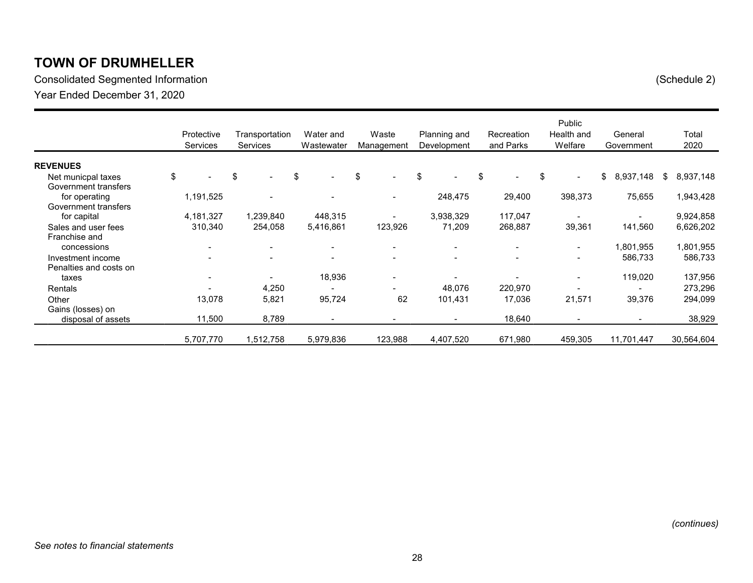Consolidated Segmented Information (Schedule 2) Year Ended December 31, 2020

|                                             |    | Protective<br><b>Services</b> |    |           |                                |    |                          |    |                          |                                |    | Transportation<br><b>Services</b> | Water and<br>Wastewater | Waste<br>Management      |                 | Planning and<br>Development |  | Recreation<br>and Parks |  | Public<br>Health and<br>Welfare |  | General<br>Government | Total<br>2020 |
|---------------------------------------------|----|-------------------------------|----|-----------|--------------------------------|----|--------------------------|----|--------------------------|--------------------------------|----|-----------------------------------|-------------------------|--------------------------|-----------------|-----------------------------|--|-------------------------|--|---------------------------------|--|-----------------------|---------------|
| <b>REVENUES</b>                             |    |                               |    |           |                                |    |                          |    |                          |                                |    |                                   |                         |                          |                 |                             |  |                         |  |                                 |  |                       |               |
| Net municpal taxes<br>Government transfers  | \$ |                               | \$ |           | \$<br>$\overline{\phantom{a}}$ | \$ |                          | \$ |                          | \$<br>$\overline{\phantom{0}}$ | \$ | $\blacksquare$                    | \$                      | 8,937,148                | \$<br>8,937,148 |                             |  |                         |  |                                 |  |                       |               |
| for operating<br>Government transfers       |    | 1,191,525                     |    |           |                                |    | $\blacksquare$           |    | 248,475                  | 29,400                         |    | 398,373                           |                         | 75,655                   | 1,943,428       |                             |  |                         |  |                                 |  |                       |               |
| for capital                                 |    | 4,181,327                     |    | 1,239,840 | 448,315                        |    | $\blacksquare$           |    | 3,938,329                | 117,047                        |    | $\overline{\phantom{a}}$          |                         |                          | 9,924,858       |                             |  |                         |  |                                 |  |                       |               |
| Sales and user fees                         |    | 310,340                       |    | 254,058   | 5,416,861                      |    | 123,926                  |    | 71,209                   | 268,887                        |    | 39,361                            |                         | 141,560                  | 6,626,202       |                             |  |                         |  |                                 |  |                       |               |
| Franchise and<br>concessions                |    | $\overline{\phantom{a}}$      |    | -         | $\overline{\phantom{a}}$       |    | $\blacksquare$           |    | $\overline{\phantom{a}}$ |                                |    | $\blacksquare$                    |                         | 1,801,955                | 1,801,955       |                             |  |                         |  |                                 |  |                       |               |
| Investment income<br>Penalties and costs on |    |                               |    |           | $\overline{\phantom{a}}$       |    | $\overline{\phantom{0}}$ |    |                          |                                |    | $\overline{\phantom{a}}$          |                         | 586,733                  | 586,733         |                             |  |                         |  |                                 |  |                       |               |
| taxes                                       |    | $\overline{\phantom{a}}$      |    |           | 18,936                         |    | $\overline{\phantom{a}}$ |    |                          |                                |    | $\blacksquare$                    |                         | 119,020                  | 137,956         |                             |  |                         |  |                                 |  |                       |               |
| <b>Rentals</b>                              |    |                               |    | 4,250     |                                |    |                          |    | 48,076                   | 220,970                        |    |                                   |                         |                          | 273,296         |                             |  |                         |  |                                 |  |                       |               |
| Other<br>Gains (losses) on                  |    | 13,078                        |    | 5,821     | 95,724                         |    | 62                       |    | 101,431                  | 17,036                         |    | 21,571                            |                         | 39,376                   | 294,099         |                             |  |                         |  |                                 |  |                       |               |
| disposal of assets                          |    | 11,500                        |    | 8,789     |                                |    | $\overline{\phantom{a}}$ |    | $\blacksquare$           | 18,640                         |    | $\overline{\phantom{a}}$          |                         | $\overline{\phantom{a}}$ | 38,929          |                             |  |                         |  |                                 |  |                       |               |
|                                             |    | 5,707,770                     |    | 1,512,758 | 5,979,836                      |    | 123,988                  |    | 4,407,520                | 671,980                        |    | 459,305                           |                         | 11,701,447               | 30,564,604      |                             |  |                         |  |                                 |  |                       |               |